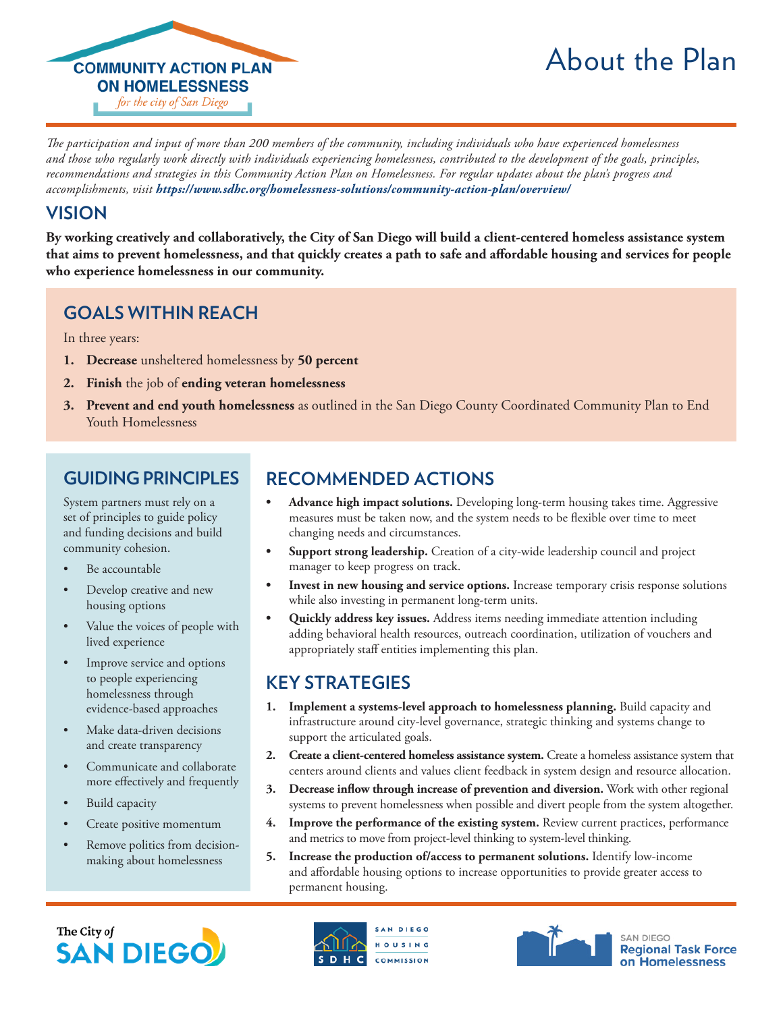

# About the Plan

*The participation and input of more than 200 members of the community, including individuals who have experienced homelessness and those who regularly work directly with individuals experiencing homelessness, contributed to the development of the goals, principles, recommendations and strategies in this Community Action Plan on Homelessness. For regular updates about the plan's progress and accomplishments, visit <https://www.sdhc.org/homelessness-solutions/community-action-plan/overview/>*

#### **VISION**

**By working creatively and collaboratively, the City of San Diego will build a client-centered homeless assistance system that aims to prevent homelessness, and that quickly creates a path to safe and affordable housing and services for people who experience homelessness in our community.**

## **GOALS WITHIN REACH**

In three years:

- **1. Decrease** unsheltered homelessness by **50 percent**
- **2. Finish** the job of **ending veteran homelessness**
- **3. Prevent and end youth homelessness** as outlined in the San Diego County Coordinated Community Plan to End Youth Homelessness

#### **GUIDING PRINCIPLES**

System partners must rely on a set of principles to guide policy and funding decisions and build community cohesion.

- Be accountable
- Develop creative and new housing options
- Value the voices of people with lived experience
- Improve service and options to people experiencing homelessness through evidence-based approaches
- Make data-driven decisions and create transparency
- Communicate and collaborate more effectively and frequently
- Build capacity
- Create positive momentum
- Remove politics from decisionmaking about homelessness

## **RECOMMENDED ACTIONS**

- **• Advance high impact solutions.** Developing long-term housing takes time. Aggressive measures must be taken now, and the system needs to be flexible over time to meet changing needs and circumstances.
- **• Support strong leadership.** Creation of a city-wide leadership council and project manager to keep progress on track.
- **• Invest in new housing and service options.** Increase temporary crisis response solutions while also investing in permanent long-term units.
- **• Quickly address key issues.** Address items needing immediate attention including adding behavioral health resources, outreach coordination, utilization of vouchers and appropriately staff entities implementing this plan.

#### **KEY STRATEGIES**

- **1. Implement a systems-level approach to homelessness planning.** Build capacity and infrastructure around city-level governance, strategic thinking and systems change to support the articulated goals.
- **2. Create a client-centered homeless assistance system.** Create a homeless assistance system that centers around clients and values client feedback in system design and resource allocation.
- **3. Decrease inflow through increase of prevention and diversion.** Work with other regional systems to prevent homelessness when possible and divert people from the system altogether.
- **4. Improve the performance of the existing system.** Review current practices, performance and metrics to move from project-level thinking to system-level thinking.
- **5. Increase the production of/access to permanent solutions.** Identify low-income and affordable housing options to increase opportunities to provide greater access to permanent housing.







**Regional Task Force** on Homelessness